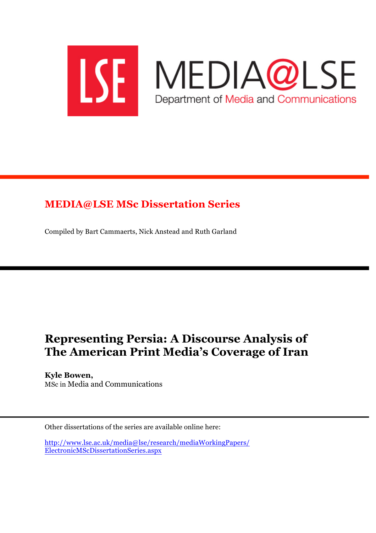

## **MEDIA@LSE MSc Dissertation Series**

Compiled by Bart Cammaerts, Nick Anstead and Ruth Garland

# **Representing Persia: A Discourse Analysis of The American Print Media's Coverage of Iran**

**Kyle Bowen,** MSc in Media and Communications

Other dissertations of the series are available online here:

http://www.lse.ac.uk/media@lse/research/mediaWorkingPapers/ ElectronicMScDissertationSeries.aspx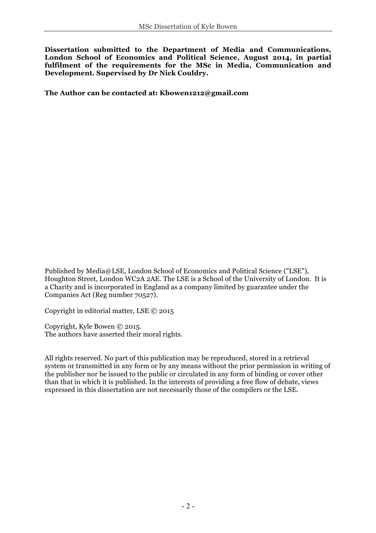**Dissertation submitted to the Department of Media and Communications, London School of Economics and Political Science, August 2014, in partial fulfilment of the requirements for the MSc in Media, Communication and Development. Supervised by Dr Nick Couldry.**

**The Author can be contacted at: Kbowen1212@gmail.com**

Published by Media@LSE, London School of Economics and Political Science ("LSE"), Houghton Street, London WC2A 2AE. The LSE is a School of the University of London. It is a Charity and is incorporated in England as a company limited by guarantee under the Companies Act (Reg number 70527).

Copyright in editorial matter, LSE © 2015

Copyright, Kyle Bowen © 2015. The authors have asserted their moral rights.

All rights reserved. No part of this publication may be reproduced, stored in a retrieval system or transmitted in any form or by any means without the prior permission in writing of the publisher nor be issued to the public or circulated in any form of binding or cover other than that in which it is published. In the interests of providing a free flow of debate, views expressed in this dissertation are not necessarily those of the compilers or the LSE.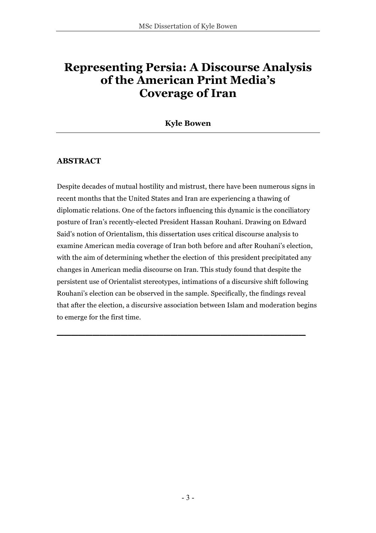## **Representing Persia: A Discourse Analysis of the American Print Media's Coverage of Iran**

**Kyle Bowen** 

## **ABSTRACT**

Despite decades of mutual hostility and mistrust, there have been numerous signs in recent months that the United States and Iran are experiencing a thawing of diplomatic relations. One of the factors influencing this dynamic is the conciliatory posture of Iran's recently-elected President Hassan Rouhani. Drawing on Edward Said's notion of Orientalism, this dissertation uses critical discourse analysis to examine American media coverage of Iran both before and after Rouhani's election, with the aim of determining whether the election of this president precipitated any changes in American media discourse on Iran. This study found that despite the persistent use of Orientalist stereotypes, intimations of a discursive shift following Rouhani's election can be observed in the sample. Specifically, the findings reveal that after the election, a discursive association between Islam and moderation begins to emerge for the first time.

**\_\_\_\_\_\_\_\_\_\_\_\_\_\_\_\_\_\_\_\_\_\_\_\_\_\_\_\_\_\_\_\_\_\_\_**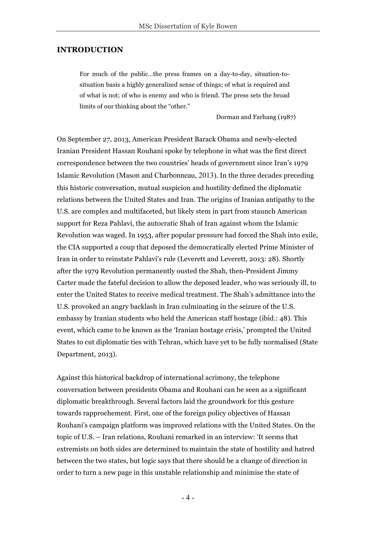#### **INTRODUCTION**

For much of the public…the press frames on a day-to-day, situation-tosituation basis a highly generalized sense of things; of what is required and of what is not; of who is enemy and who is friend. The press sets the broad limits of our thinking about the "other."

Dorman and Farhang (1987)

On September 27, 2013, American President Barack Obama and newly-elected Iranian President Hassan Rouhani spoke by telephone in what was the first direct correspondence between the two countries' heads of government since Iran's 1979 Islamic Revolution (Mason and Charbonneau, 2013). In the three decades preceding this historic conversation, mutual suspicion and hostility defined the diplomatic relations between the United States and Iran. The origins of Iranian antipathy to the U.S. are complex and multifaceted, but likely stem in part from staunch American support for Reza Pahlavi, the autocratic Shah of Iran against whom the Islamic Revolution was waged. In 1953, after popular pressure had forced the Shah into exile, the CIA supported a coup that deposed the democratically elected Prime Minister of Iran in order to reinstate Pahlavi's rule (Leverett and Leverett, 2013: 28). Shortly after the 1979 Revolution permanently ousted the Shah, then-President Jimmy Carter made the fateful decision to allow the deposed leader, who was seriously ill, to enter the United States to receive medical treatment. The Shah's admittance into the U.S. provoked an angry backlash in Iran culminating in the seizure of the U.S. embassy by Iranian students who held the American staff hostage (ibid.: 48). This event, which came to be known as the 'Iranian hostage crisis,' prompted the United States to cut diplomatic ties with Tehran, which have yet to be fully normalised (State Department, 2013).

Against this historical backdrop of international acrimony, the telephone conversation between presidents Obama and Rouhani can be seen as a significant diplomatic breakthrough. Several factors laid the groundwork for this gesture towards rapprochement. First, one of the foreign policy objectives of Hassan Rouhani's campaign platform was improved relations with the United States. On the topic of U.S. – Iran relations, Rouhani remarked in an interview: 'It seems that extremists on both sides are determined to maintain the state of hostility and hatred between the two states, but logic says that there should be a change of direction in order to turn a new page in this unstable relationship and minimise the state of

- 4 -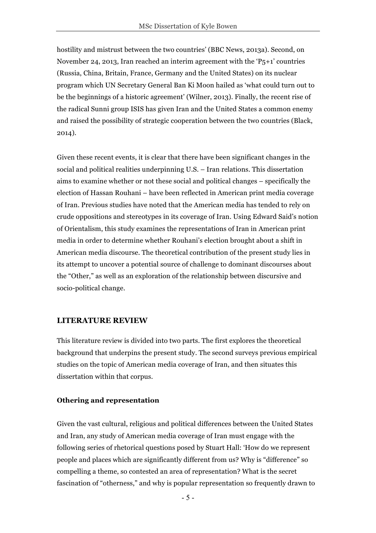hostility and mistrust between the two countries' (BBC News, 2013a). Second, on November 24, 2013, Iran reached an interim agreement with the 'P5+1' countries (Russia, China, Britain, France, Germany and the United States) on its nuclear program which UN Secretary General Ban Ki Moon hailed as 'what could turn out to be the beginnings of a historic agreement' (Wilner, 2013). Finally, the recent rise of the radical Sunni group ISIS has given Iran and the United States a common enemy and raised the possibility of strategic cooperation between the two countries (Black, 2014).

Given these recent events, it is clear that there have been significant changes in the social and political realities underpinning U.S. – Iran relations. This dissertation aims to examine whether or not these social and political changes – specifically the election of Hassan Rouhani – have been reflected in American print media coverage of Iran. Previous studies have noted that the American media has tended to rely on crude oppositions and stereotypes in its coverage of Iran. Using Edward Said's notion of Orientalism, this study examines the representations of Iran in American print media in order to determine whether Rouhani's election brought about a shift in American media discourse. The theoretical contribution of the present study lies in its attempt to uncover a potential source of challenge to dominant discourses about the "Other," as well as an exploration of the relationship between discursive and socio-political change.

### **LITERATURE REVIEW**

This literature review is divided into two parts. The first explores the theoretical background that underpins the present study. The second surveys previous empirical studies on the topic of American media coverage of Iran, and then situates this dissertation within that corpus.

#### **Othering and representation**

Given the vast cultural, religious and political differences between the United States and Iran, any study of American media coverage of Iran must engage with the following series of rhetorical questions posed by Stuart Hall: 'How do we represent people and places which are significantly different from us? Why is "difference" so compelling a theme, so contested an area of representation? What is the secret fascination of "otherness," and why is popular representation so frequently drawn to

- 5 -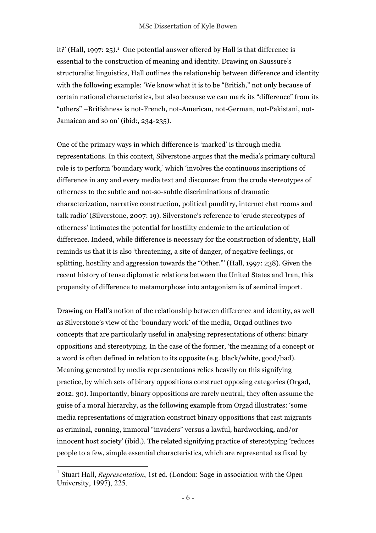it?' (Hall, 1997: 25).<sup>1</sup> One potential answer offered by Hall is that difference is essential to the construction of meaning and identity. Drawing on Saussure's structuralist linguistics, Hall outlines the relationship between difference and identity with the following example: 'We know what it is to be "British," not only because of certain national characteristics, but also because we can mark its "difference" from its "others" –Britishness is not-French, not-American, not-German, not-Pakistani, not-Jamaican and so on' (ibid:, 234-235).

One of the primary ways in which difference is 'marked' is through media representations. In this context, Silverstone argues that the media's primary cultural role is to perform 'boundary work,' which 'involves the continuous inscriptions of difference in any and every media text and discourse: from the crude stereotypes of otherness to the subtle and not-so-subtle discriminations of dramatic characterization, narrative construction, political punditry, internet chat rooms and talk radio' (Silverstone, 2007: 19). Silverstone's reference to 'crude stereotypes of otherness' intimates the potential for hostility endemic to the articulation of difference. Indeed, while difference is necessary for the construction of identity, Hall reminds us that it is also 'threatening, a site of danger, of negative feelings, or splitting, hostility and aggression towards the "Other."' (Hall, 1997: 238). Given the recent history of tense diplomatic relations between the United States and Iran, this propensity of difference to metamorphose into antagonism is of seminal import.

Drawing on Hall's notion of the relationship between difference and identity, as well as Silverstone's view of the 'boundary work' of the media, Orgad outlines two concepts that are particularly useful in analysing representations of others: binary oppositions and stereotyping. In the case of the former, 'the meaning of a concept or a word is often defined in relation to its opposite (e.g. black/white, good/bad). Meaning generated by media representations relies heavily on this signifying practice, by which sets of binary oppositions construct opposing categories (Orgad, 2012: 30). Importantly, binary oppositions are rarely neutral; they often assume the guise of a moral hierarchy, as the following example from Orgad illustrates: 'some media representations of migration construct binary oppositions that cast migrants as criminal, cunning, immoral "invaders" versus a lawful, hardworking, and/or innocent host society' (ibid.). The related signifying practice of stereotyping 'reduces people to a few, simple essential characteristics, which are represented as fixed by

<sup>&</sup>lt;sup>1</sup> Stuart Hall, *Representation*, 1st ed. (London: Sage in association with the Open University, 1997), 225.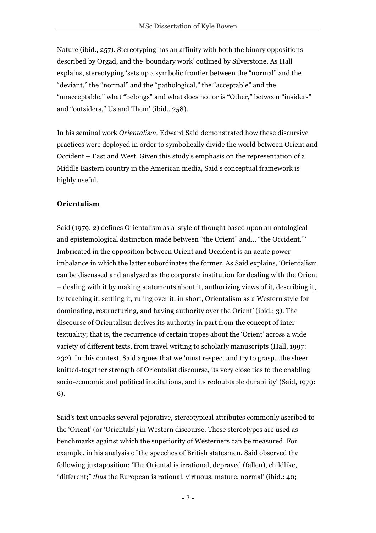Nature (ibid., 257). Stereotyping has an affinity with both the binary oppositions described by Orgad, and the 'boundary work' outlined by Silverstone. As Hall explains, stereotyping 'sets up a symbolic frontier between the "normal" and the "deviant," the "normal" and the "pathological," the "acceptable" and the "unacceptable," what "belongs" and what does not or is "Other," between "insiders" and "outsiders," Us and Them' (ibid., 258).

In his seminal work *Orientalism,* Edward Said demonstrated how these discursive practices were deployed in order to symbolically divide the world between Orient and Occident – East and West. Given this study's emphasis on the representation of a Middle Eastern country in the American media, Said's conceptual framework is highly useful.

## **Orientalism**

Said (1979: 2) defines Orientalism as a 'style of thought based upon an ontological and epistemological distinction made between "the Orient" and… "the Occident."' Imbricated in the opposition between Orient and Occident is an acute power imbalance in which the latter subordinates the former. As Said explains, 'Orientalism can be discussed and analysed as the corporate institution for dealing with the Orient – dealing with it by making statements about it, authorizing views of it, describing it, by teaching it, settling it, ruling over it: in short, Orientalism as a Western style for dominating, restructuring, and having authority over the Orient' (ibid.: 3). The discourse of Orientalism derives its authority in part from the concept of intertextuality; that is, the recurrence of certain tropes about the 'Orient' across a wide variety of different texts, from travel writing to scholarly manuscripts (Hall, 1997: 232). In this context, Said argues that we 'must respect and try to grasp…the sheer knitted-together strength of Orientalist discourse, its very close ties to the enabling socio-economic and political institutions, and its redoubtable durability' (Said, 1979: 6).

Said's text unpacks several pejorative, stereotypical attributes commonly ascribed to the 'Orient' (or 'Orientals') in Western discourse. These stereotypes are used as benchmarks against which the superiority of Westerners can be measured. For example, in his analysis of the speeches of British statesmen, Said observed the following juxtaposition: 'The Oriental is irrational, depraved (fallen), childlike, "different;" *thus* the European is rational, virtuous, mature, normal' (ibid.: 40;

- 7 -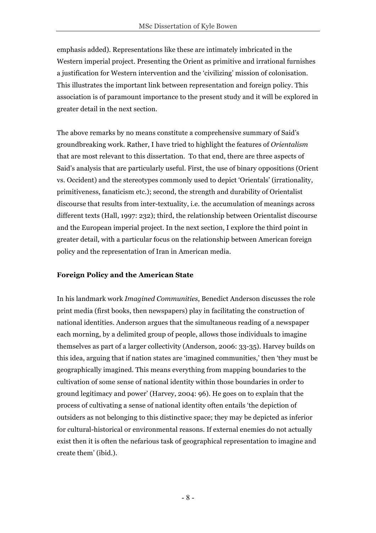emphasis added). Representations like these are intimately imbricated in the Western imperial project. Presenting the Orient as primitive and irrational furnishes a justification for Western intervention and the 'civilizing' mission of colonisation. This illustrates the important link between representation and foreign policy. This association is of paramount importance to the present study and it will be explored in greater detail in the next section.

The above remarks by no means constitute a comprehensive summary of Said's groundbreaking work. Rather, I have tried to highlight the features of *Orientalism*  that are most relevant to this dissertation. To that end, there are three aspects of Said's analysis that are particularly useful. First, the use of binary oppositions (Orient vs. Occident) and the stereotypes commonly used to depict 'Orientals' (irrationality, primitiveness, fanaticism etc.); second, the strength and durability of Orientalist discourse that results from inter-textuality, i.e. the accumulation of meanings across different texts (Hall, 1997: 232); third, the relationship between Orientalist discourse and the European imperial project. In the next section, I explore the third point in greater detail, with a particular focus on the relationship between American foreign policy and the representation of Iran in American media.

### **Foreign Policy and the American State**

In his landmark work *Imagined Communities*, Benedict Anderson discusses the role print media (first books, then newspapers) play in facilitating the construction of national identities. Anderson argues that the simultaneous reading of a newspaper each morning, by a delimited group of people, allows those individuals to imagine themselves as part of a larger collectivity (Anderson, 2006: 33-35). Harvey builds on this idea, arguing that if nation states are 'imagined communities,' then 'they must be geographically imagined. This means everything from mapping boundaries to the cultivation of some sense of national identity within those boundaries in order to ground legitimacy and power' (Harvey, 2004: 96). He goes on to explain that the process of cultivating a sense of national identity often entails 'the depiction of outsiders as not belonging to this distinctive space; they may be depicted as inferior for cultural-historical or environmental reasons. If external enemies do not actually exist then it is often the nefarious task of geographical representation to imagine and create them' (ibid.).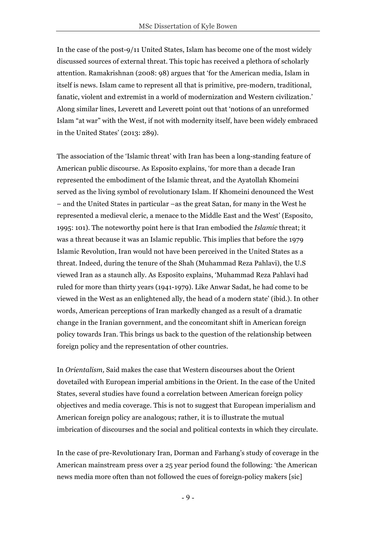In the case of the post-9/11 United States, Islam has become one of the most widely discussed sources of external threat. This topic has received a plethora of scholarly attention. Ramakrishnan (2008: 98) argues that 'for the American media, Islam in itself is news. Islam came to represent all that is primitive, pre-modern, traditional, fanatic, violent and extremist in a world of modernization and Western civilization.' Along similar lines, Leverett and Leverett point out that 'notions of an unreformed Islam "at war" with the West, if not with modernity itself, have been widely embraced in the United States' (2013: 289).

The association of the 'Islamic threat' with Iran has been a long-standing feature of American public discourse. As Esposito explains, 'for more than a decade Iran represented the embodiment of the Islamic threat, and the Ayatollah Khomeini served as the living symbol of revolutionary Islam. If Khomeini denounced the West – and the United States in particular –as the great Satan, for many in the West he represented a medieval cleric, a menace to the Middle East and the West' (Esposito, 1995: 101). The noteworthy point here is that Iran embodied the *Islamic* threat; it was a threat because it was an Islamic republic. This implies that before the 1979 Islamic Revolution, Iran would not have been perceived in the United States as a threat. Indeed, during the tenure of the Shah (Muhammad Reza Pahlavi), the U.S viewed Iran as a staunch ally. As Esposito explains, 'Muhammad Reza Pahlavi had ruled for more than thirty years (1941-1979). Like Anwar Sadat, he had come to be viewed in the West as an enlightened ally, the head of a modern state' (ibid.). In other words, American perceptions of Iran markedly changed as a result of a dramatic change in the Iranian government, and the concomitant shift in American foreign policy towards Iran. This brings us back to the question of the relationship between foreign policy and the representation of other countries.

In *Orientalism,* Said makes the case that Western discourses about the Orient dovetailed with European imperial ambitions in the Orient. In the case of the United States, several studies have found a correlation between American foreign policy objectives and media coverage. This is not to suggest that European imperialism and American foreign policy are analogous; rather, it is to illustrate the mutual imbrication of discourses and the social and political contexts in which they circulate.

In the case of pre-Revolutionary Iran, Dorman and Farhang's study of coverage in the American mainstream press over a 25 year period found the following: 'the American news media more often than not followed the cues of foreign-policy makers [sic]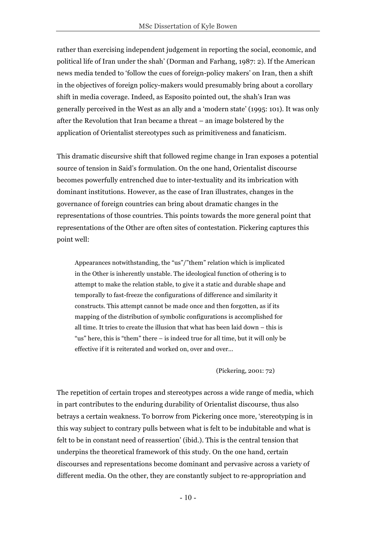rather than exercising independent judgement in reporting the social, economic, and political life of Iran under the shah' (Dorman and Farhang, 1987: 2). If the American news media tended to 'follow the cues of foreign-policy makers' on Iran, then a shift in the objectives of foreign policy-makers would presumably bring about a corollary shift in media coverage. Indeed, as Esposito pointed out, the shah's Iran was generally perceived in the West as an ally and a 'modern state' (1995: 101). It was only after the Revolution that Iran became a threat – an image bolstered by the application of Orientalist stereotypes such as primitiveness and fanaticism.

This dramatic discursive shift that followed regime change in Iran exposes a potential source of tension in Said's formulation. On the one hand, Orientalist discourse becomes powerfully entrenched due to inter-textuality and its imbrication with dominant institutions. However, as the case of Iran illustrates, changes in the governance of foreign countries can bring about dramatic changes in the representations of those countries. This points towards the more general point that representations of the Other are often sites of contestation. Pickering captures this point well:

Appearances notwithstanding, the "us"/"them" relation which is implicated in the Other is inherently unstable. The ideological function of othering is to attempt to make the relation stable, to give it a static and durable shape and temporally to fast-freeze the configurations of difference and similarity it constructs. This attempt cannot be made once and then forgotten, as if its mapping of the distribution of symbolic configurations is accomplished for all time. It tries to create the illusion that what has been laid down – this is "us" here, this is "them" there – is indeed true for all time, but it will only be effective if it is reiterated and worked on, over and over…

#### (Pickering, 2001: 72)

The repetition of certain tropes and stereotypes across a wide range of media, which in part contributes to the enduring durability of Orientalist discourse, thus also betrays a certain weakness. To borrow from Pickering once more, 'stereotyping is in this way subject to contrary pulls between what is felt to be indubitable and what is felt to be in constant need of reassertion' (ibid.). This is the central tension that underpins the theoretical framework of this study. On the one hand, certain discourses and representations become dominant and pervasive across a variety of different media. On the other, they are constantly subject to re-appropriation and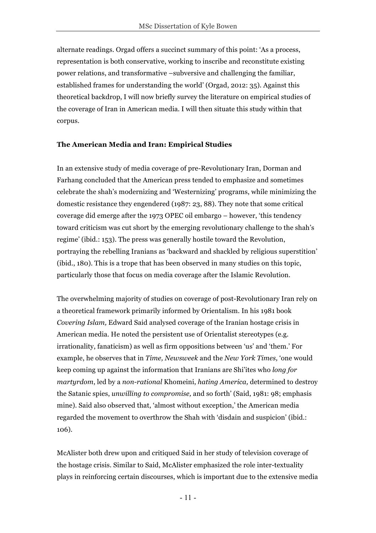alternate readings. Orgad offers a succinct summary of this point: 'As a process, representation is both conservative, working to inscribe and reconstitute existing power relations, and transformative –subversive and challenging the familiar, established frames for understanding the world' (Orgad, 2012: 35). Against this theoretical backdrop, I will now briefly survey the literature on empirical studies of the coverage of Iran in American media. I will then situate this study within that corpus.

## **The American Media and Iran: Empirical Studies**

In an extensive study of media coverage of pre-Revolutionary Iran, Dorman and Farhang concluded that the American press tended to emphasize and sometimes celebrate the shah's modernizing and 'Westernizing' programs, while minimizing the domestic resistance they engendered (1987: 23, 88). They note that some critical coverage did emerge after the 1973 OPEC oil embargo – however, 'this tendency toward criticism was cut short by the emerging revolutionary challenge to the shah's regime' (ibid.: 153). The press was generally hostile toward the Revolution, portraying the rebelling Iranians as 'backward and shackled by religious superstition' (ibid., 180). This is a trope that has been observed in many studies on this topic, particularly those that focus on media coverage after the Islamic Revolution.

The overwhelming majority of studies on coverage of post-Revolutionary Iran rely on a theoretical framework primarily informed by Orientalism. In his 1981 book *Covering Islam,* Edward Said analysed coverage of the Iranian hostage crisis in American media. He noted the persistent use of Orientalist stereotypes (e.g. irrationality, fanaticism) as well as firm oppositions between 'us' and 'them.' For example, he observes that in *Time, Newsweek* and the *New York Times,* 'one would keep coming up against the information that Iranians are Shi'ites who *long for martyrdom*, led by a *non-rational* Khomeini, *hating America,* determined to destroy the Satanic spies, *unwilling to compromise,* and so forth' (Said, 1981: 98; emphasis mine). Said also observed that, 'almost without exception,' the American media regarded the movement to overthrow the Shah with 'disdain and suspicion' (ibid.: 106).

McAlister both drew upon and critiqued Said in her study of television coverage of the hostage crisis. Similar to Said, McAlister emphasized the role inter-textuality plays in reinforcing certain discourses, which is important due to the extensive media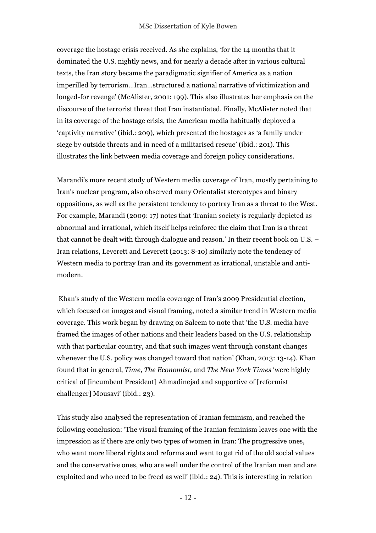coverage the hostage crisis received. As she explains, 'for the 14 months that it dominated the U.S. nightly news, and for nearly a decade after in various cultural texts, the Iran story became the paradigmatic signifier of America as a nation imperilled by terrorism*…*Iran*…*structured a national narrative of victimization and longed-for revenge' (McAlister, 2001: 199). This also illustrates her emphasis on the discourse of the terrorist threat that Iran instantiated. Finally, McAlister noted that in its coverage of the hostage crisis, the American media habitually deployed a 'captivity narrative' (ibid.: 209), which presented the hostages as 'a family under siege by outside threats and in need of a militarised rescue' (ibid.: 201). This illustrates the link between media coverage and foreign policy considerations.

Marandi's more recent study of Western media coverage of Iran, mostly pertaining to Iran's nuclear program, also observed many Orientalist stereotypes and binary oppositions, as well as the persistent tendency to portray Iran as a threat to the West. For example, Marandi (2009: 17) notes that 'Iranian society is regularly depicted as abnormal and irrational, which itself helps reinforce the claim that Iran is a threat that cannot be dealt with through dialogue and reason.' In their recent book on U.S. – Iran relations, Leverett and Leverett (2013: 8-10) similarly note the tendency of Western media to portray Iran and its government as irrational, unstable and antimodern.

Khan's study of the Western media coverage of Iran's 2009 Presidential election, which focused on images and visual framing, noted a similar trend in Western media coverage. This work began by drawing on Saleem to note that 'the U.S. media have framed the images of other nations and their leaders based on the U.S. relationship with that particular country, and that such images went through constant changes whenever the U.S. policy was changed toward that nation' (Khan, 2013: 13-14). Khan found that in general, *Time, The Economist,* and *The New York Times* 'were highly critical of [incumbent President] Ahmadinejad and supportive of [reformist challenger] Mousavi' (ibid.: 23).

This study also analysed the representation of Iranian feminism, and reached the following conclusion: 'The visual framing of the Iranian feminism leaves one with the impression as if there are only two types of women in Iran: The progressive ones, who want more liberal rights and reforms and want to get rid of the old social values and the conservative ones, who are well under the control of the Iranian men and are exploited and who need to be freed as well' (ibid.: 24). This is interesting in relation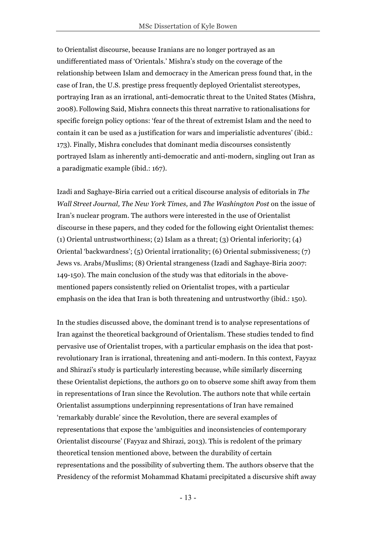to Orientalist discourse, because Iranians are no longer portrayed as an undifferentiated mass of 'Orientals.' Mishra's study on the coverage of the relationship between Islam and democracy in the American press found that, in the case of Iran, the U.S. prestige press frequently deployed Orientalist stereotypes, portraying Iran as an irrational, anti-democratic threat to the United States (Mishra, 2008). Following Said, Mishra connects this threat narrative to rationalisations for specific foreign policy options: 'fear of the threat of extremist Islam and the need to contain it can be used as a justification for wars and imperialistic adventures' (ibid.: 173). Finally, Mishra concludes that dominant media discourses consistently portrayed Islam as inherently anti-democratic and anti-modern, singling out Iran as a paradigmatic example (ibid.: 167).

Izadi and Saghaye-Biria carried out a critical discourse analysis of editorials in *The Wall Street Journal, The New York Times,* and *The Washington Post* on the issue of Iran's nuclear program. The authors were interested in the use of Orientalist discourse in these papers, and they coded for the following eight Orientalist themes: (1) Oriental untrustworthiness; (2) Islam as a threat; (3) Oriental inferiority; (4) Oriental 'backwardness'; (5) Oriental irrationality; (6) Oriental submissiveness; (7) Jews vs. Arabs/Muslims; (8) Oriental strangeness (Izadi and Saghaye-Biria 2007: 149-150). The main conclusion of the study was that editorials in the abovementioned papers consistently relied on Orientalist tropes, with a particular emphasis on the idea that Iran is both threatening and untrustworthy (ibid.: 150).

In the studies discussed above, the dominant trend is to analyse representations of Iran against the theoretical background of Orientalism. These studies tended to find pervasive use of Orientalist tropes, with a particular emphasis on the idea that postrevolutionary Iran is irrational, threatening and anti-modern. In this context, Fayyaz and Shirazi's study is particularly interesting because, while similarly discerning these Orientalist depictions, the authors go on to observe some shift away from them in representations of Iran since the Revolution. The authors note that while certain Orientalist assumptions underpinning representations of Iran have remained 'remarkably durable' since the Revolution, there are several examples of representations that expose the 'ambiguities and inconsistencies of contemporary Orientalist discourse' (Fayyaz and Shirazi, 2013). This is redolent of the primary theoretical tension mentioned above, between the durability of certain representations and the possibility of subverting them. The authors observe that the Presidency of the reformist Mohammad Khatami precipitated a discursive shift away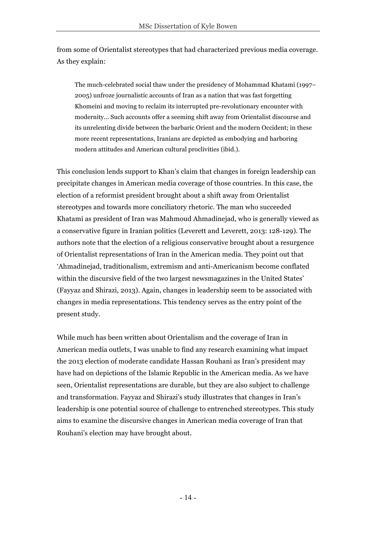from some of Orientalist stereotypes that had characterized previous media coverage. As they explain:

The much-celebrated social thaw under the presidency of Mohammad Khatami (1997– 2005) unfroze journalistic accounts of Iran as a nation that was fast forgetting Khomeini and moving to reclaim its interrupted pre-revolutionary encounter with modernity... Such accounts offer a seeming shift away from Orientalist discourse and its unrelenting divide between the barbaric Orient and the modern Occident; in these more recent representations, Iranians are depicted as embodying and harboring modern attitudes and American cultural proclivities (ibid.).

This conclusion lends support to Khan's claim that changes in foreign leadership can precipitate changes in American media coverage of those countries. In this case, the election of a reformist president brought about a shift away from Orientalist stereotypes and towards more conciliatory rhetoric. The man who succeeded Khatami as president of Iran was Mahmoud Ahmadinejad, who is generally viewed as a conservative figure in Iranian politics (Leverett and Leverett, 2013: 128-129). The authors note that the election of a religious conservative brought about a resurgence of Orientalist representations of Iran in the American media. They point out that 'Ahmadinejad, traditionalism, extremism and anti-Americanism become conflated within the discursive field of the two largest newsmagazines in the United States' (Fayyaz and Shirazi, 2013). Again, changes in leadership seem to be associated with changes in media representations. This tendency serves as the entry point of the present study.

While much has been written about Orientalism and the coverage of Iran in American media outlets, I was unable to find any research examining what impact the 2013 election of moderate candidate Hassan Rouhani as Iran's president may have had on depictions of the Islamic Republic in the American media. As we have seen, Orientalist representations are durable, but they are also subject to challenge and transformation. Fayyaz and Shirazi's study illustrates that changes in Iran's leadership is one potential source of challenge to entrenched stereotypes. This study aims to examine the discursive changes in American media coverage of Iran that Rouhani's election may have brought about.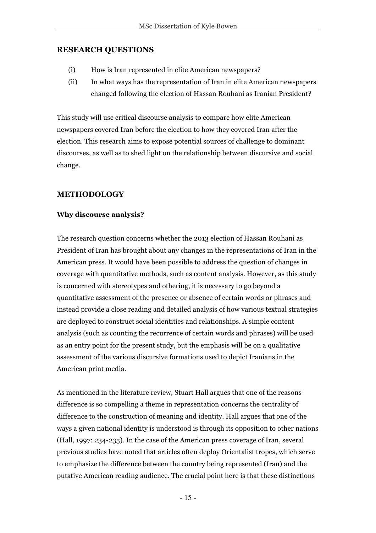## **RESEARCH QUESTIONS**

- (i) How is Iran represented in elite American newspapers?
- (ii) In what ways has the representation of Iran in elite American newspapers changed following the election of Hassan Rouhani as Iranian President?

This study will use critical discourse analysis to compare how elite American newspapers covered Iran before the election to how they covered Iran after the election. This research aims to expose potential sources of challenge to dominant discourses, as well as to shed light on the relationship between discursive and social change.

## **METHODOLOGY**

## **Why discourse analysis?**

The research question concerns whether the 2013 election of Hassan Rouhani as President of Iran has brought about any changes in the representations of Iran in the American press. It would have been possible to address the question of changes in coverage with quantitative methods, such as content analysis. However, as this study is concerned with stereotypes and othering, it is necessary to go beyond a quantitative assessment of the presence or absence of certain words or phrases and instead provide a close reading and detailed analysis of how various textual strategies are deployed to construct social identities and relationships. A simple content analysis (such as counting the recurrence of certain words and phrases) will be used as an entry point for the present study, but the emphasis will be on a qualitative assessment of the various discursive formations used to depict Iranians in the American print media.

As mentioned in the literature review, Stuart Hall argues that one of the reasons difference is so compelling a theme in representation concerns the centrality of difference to the construction of meaning and identity. Hall argues that one of the ways a given national identity is understood is through its opposition to other nations (Hall, 1997: 234-235). In the case of the American press coverage of Iran, several previous studies have noted that articles often deploy Orientalist tropes, which serve to emphasize the difference between the country being represented (Iran) and the putative American reading audience. The crucial point here is that these distinctions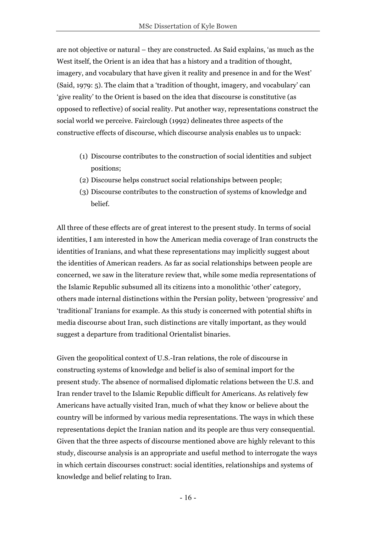are not objective or natural – they are constructed. As Said explains, 'as much as the West itself, the Orient is an idea that has a history and a tradition of thought, imagery, and vocabulary that have given it reality and presence in and for the West' (Said, 1979: 5). The claim that a 'tradition of thought, imagery, and vocabulary' can 'give reality' to the Orient is based on the idea that discourse is constitutive (as opposed to reflective) of social reality. Put another way, representations construct the social world we perceive. Fairclough (1992) delineates three aspects of the constructive effects of discourse, which discourse analysis enables us to unpack:

- (1) Discourse contributes to the construction of social identities and subject positions;
- (2) Discourse helps construct social relationships between people;
- (3) Discourse contributes to the construction of systems of knowledge and belief.

All three of these effects are of great interest to the present study. In terms of social identities, I am interested in how the American media coverage of Iran constructs the identities of Iranians, and what these representations may implicitly suggest about the identities of American readers. As far as social relationships between people are concerned, we saw in the literature review that, while some media representations of the Islamic Republic subsumed all its citizens into a monolithic 'other' category, others made internal distinctions within the Persian polity, between 'progressive' and 'traditional' Iranians for example. As this study is concerned with potential shifts in media discourse about Iran, such distinctions are vitally important, as they would suggest a departure from traditional Orientalist binaries.

Given the geopolitical context of U.S.-Iran relations, the role of discourse in constructing systems of knowledge and belief is also of seminal import for the present study. The absence of normalised diplomatic relations between the U.S. and Iran render travel to the Islamic Republic difficult for Americans. As relatively few Americans have actually visited Iran, much of what they know or believe about the country will be informed by various media representations. The ways in which these representations depict the Iranian nation and its people are thus very consequential. Given that the three aspects of discourse mentioned above are highly relevant to this study, discourse analysis is an appropriate and useful method to interrogate the ways in which certain discourses construct: social identities, relationships and systems of knowledge and belief relating to Iran.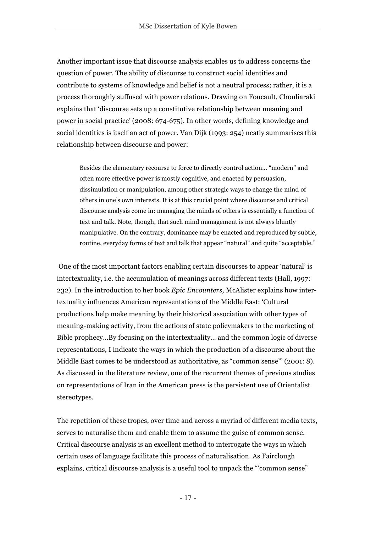Another important issue that discourse analysis enables us to address concerns the question of power. The ability of discourse to construct social identities and contribute to systems of knowledge and belief is not a neutral process; rather, it is a process thoroughly suffused with power relations. Drawing on Foucault, Chouliaraki explains that 'discourse sets up a constitutive relationship between meaning and power in social practice' (2008: 674-675). In other words, defining knowledge and social identities is itself an act of power. Van Dijk (1993: 254) neatly summarises this relationship between discourse and power:

Besides the elementary recourse to force to directly control action… "modern" and often more effective power is mostly cognitive, and enacted by persuasion, dissimulation or manipulation, among other strategic ways to change the mind of others in one's own interests*.* It is at this crucial point where discourse and critical discourse analysis come in: managing the minds of others is essentially a function of text and talk. Note, though, that such mind management is not always bluntly manipulative. On the contrary, dominance may be enacted and reproduced by subtle, routine, everyday forms of text and talk that appear "natural" and quite "acceptable."

One of the most important factors enabling certain discourses to appear 'natural' is intertextuality, i.e. the accumulation of meanings across different texts (Hall, 1997: 232). In the introduction to her book *Epic Encounters,* McAlister explains how intertextuality influences American representations of the Middle East: 'Cultural productions help make meaning by their historical association with other types of meaning-making activity, from the actions of state policymakers to the marketing of Bible prophecy…By focusing on the intertextuality*…* and the common logic of diverse representations, I indicate the ways in which the production of a discourse about the Middle East comes to be understood as authoritative, as "common sense"' (2001: 8). As discussed in the literature review, one of the recurrent themes of previous studies on representations of Iran in the American press is the persistent use of Orientalist stereotypes.

The repetition of these tropes, over time and across a myriad of different media texts, serves to naturalise them and enable them to assume the guise of common sense. Critical discourse analysis is an excellent method to interrogate the ways in which certain uses of language facilitate this process of naturalisation. As Fairclough explains, critical discourse analysis is a useful tool to unpack the "'common sense"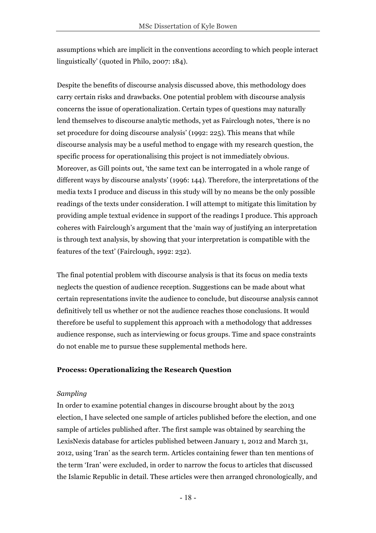assumptions which are implicit in the conventions according to which people interact linguistically' (quoted in Philo, 2007: 184).

Despite the benefits of discourse analysis discussed above, this methodology does carry certain risks and drawbacks. One potential problem with discourse analysis concerns the issue of operationalization. Certain types of questions may naturally lend themselves to discourse analytic methods, yet as Fairclough notes, 'there is no set procedure for doing discourse analysis' (1992: 225). This means that while discourse analysis may be a useful method to engage with my research question, the specific process for operationalising this project is not immediately obvious. Moreover, as Gill points out, 'the same text can be interrogated in a whole range of different ways by discourse analysts' (1996: 144). Therefore, the interpretations of the media texts I produce and discuss in this study will by no means be the only possible readings of the texts under consideration. I will attempt to mitigate this limitation by providing ample textual evidence in support of the readings I produce. This approach coheres with Fairclough's argument that the 'main way of justifying an interpretation is through text analysis, by showing that your interpretation is compatible with the features of the text' (Fairclough, 1992: 232).

The final potential problem with discourse analysis is that its focus on media texts neglects the question of audience reception. Suggestions can be made about what certain representations invite the audience to conclude, but discourse analysis cannot definitively tell us whether or not the audience reaches those conclusions. It would therefore be useful to supplement this approach with a methodology that addresses audience response, such as interviewing or focus groups. Time and space constraints do not enable me to pursue these supplemental methods here.

#### **Process: Operationalizing the Research Question**

#### *Sampling*

In order to examine potential changes in discourse brought about by the 2013 election, I have selected one sample of articles published before the election, and one sample of articles published after. The first sample was obtained by searching the LexisNexis database for articles published between January 1, 2012 and March 31, 2012, using 'Iran' as the search term. Articles containing fewer than ten mentions of the term 'Iran' were excluded, in order to narrow the focus to articles that discussed the Islamic Republic in detail. These articles were then arranged chronologically, and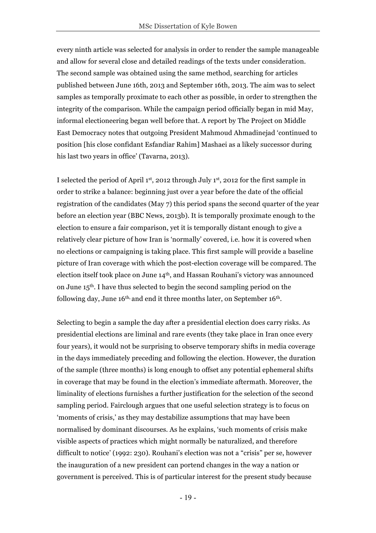every ninth article was selected for analysis in order to render the sample manageable and allow for several close and detailed readings of the texts under consideration. The second sample was obtained using the same method, searching for articles published between June 16th, 2013 and September 16th, 2013. The aim was to select samples as temporally proximate to each other as possible, in order to strengthen the integrity of the comparison. While the campaign period officially began in mid May, informal electioneering began well before that. A report by The Project on Middle East Democracy notes that outgoing President Mahmoud Ahmadinejad 'continued to position [his close confidant Esfandiar Rahim] Mashaei as a likely successor during his last two years in office' (Tavarna, 2013).

I selected the period of April 1st, 2012 through July 1st, 2012 for the first sample in order to strike a balance: beginning just over a year before the date of the official registration of the candidates (May 7) this period spans the second quarter of the year before an election year (BBC News, 2013b). It is temporally proximate enough to the election to ensure a fair comparison, yet it is temporally distant enough to give a relatively clear picture of how Iran is 'normally' covered, i.e. how it is covered when no elections or campaigning is taking place. This first sample will provide a baseline picture of Iran coverage with which the post-election coverage will be compared. The election itself took place on June 14th, and Hassan Rouhani's victory was announced on June 15th. I have thus selected to begin the second sampling period on the following day, June  $16<sup>th</sup>$ , and end it three months later, on September  $16<sup>th</sup>$ .

Selecting to begin a sample the day after a presidential election does carry risks. As presidential elections are liminal and rare events (they take place in Iran once every four years), it would not be surprising to observe temporary shifts in media coverage in the days immediately preceding and following the election. However, the duration of the sample (three months) is long enough to offset any potential ephemeral shifts in coverage that may be found in the election's immediate aftermath. Moreover, the liminality of elections furnishes a further justification for the selection of the second sampling period. Fairclough argues that one useful selection strategy is to focus on 'moments of crisis,' as they may destabilize assumptions that may have been normalised by dominant discourses. As he explains, 'such moments of crisis make visible aspects of practices which might normally be naturalized, and therefore difficult to notice' (1992: 230). Rouhani's election was not a "crisis" per se, however the inauguration of a new president can portend changes in the way a nation or government is perceived. This is of particular interest for the present study because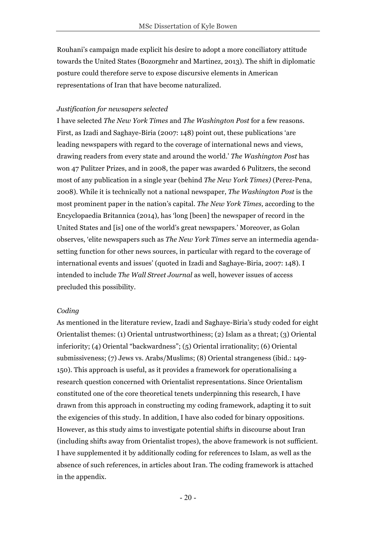Rouhani's campaign made explicit his desire to adopt a more conciliatory attitude towards the United States (Bozorgmehr and Martinez, 2013). The shift in diplomatic posture could therefore serve to expose discursive elements in American representations of Iran that have become naturalized.

#### *Justification for newsapers selected*

I have selected *The New York Times* and *The Washington Post* for a few reasons. First, as Izadi and Saghaye-Biria (2007: 148) point out, these publications 'are leading newspapers with regard to the coverage of international news and views, drawing readers from every state and around the world.' *The Washington Post* has won 47 Pulitzer Prizes, and in 2008, the paper was awarded 6 Pulitzers, the second most of any publication in a single year (behind *The New York Times)* (Perez-Pena, 2008). While it is technically not a national newspaper, *The Washington Post* is the most prominent paper in the nation's capital. *The New York Times,* according to the Encyclopaedia Britannica (2014), has 'long [been] the newspaper of record in the United States and [is] one of the world's great newspapers.' Moreover, as Golan observes, 'elite newspapers such as *The New York Times* serve an intermedia agendasetting function for other news sources, in particular with regard to the coverage of international events and issues' (quoted in Izadi and Saghaye-Biria, 2007: 148). I intended to include *The Wall Street Journal* as well, however issues of access precluded this possibility.

#### *Coding*

As mentioned in the literature review, Izadi and Saghaye-Biria's study coded for eight Orientalist themes: (1) Oriental untrustworthiness; (2) Islam as a threat; (3) Oriental inferiority; (4) Oriental "backwardness"; (5) Oriental irrationality; (6) Oriental submissiveness; (7) Jews vs. Arabs/Muslims; (8) Oriental strangeness (ibid.: 149- 150). This approach is useful, as it provides a framework for operationalising a research question concerned with Orientalist representations. Since Orientalism constituted one of the core theoretical tenets underpinning this research, I have drawn from this approach in constructing my coding framework, adapting it to suit the exigencies of this study. In addition, I have also coded for binary oppositions. However, as this study aims to investigate potential shifts in discourse about Iran (including shifts away from Orientalist tropes), the above framework is not sufficient. I have supplemented it by additionally coding for references to Islam, as well as the absence of such references, in articles about Iran. The coding framework is attached in the appendix.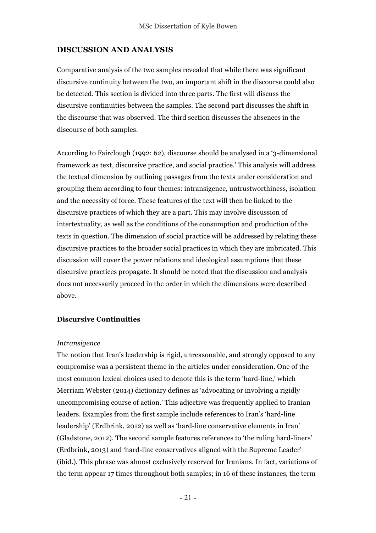## **DISCUSSION AND ANALYSIS**

Comparative analysis of the two samples revealed that while there was significant discursive continuity between the two, an important shift in the discourse could also be detected. This section is divided into three parts. The first will discuss the discursive continuities between the samples. The second part discusses the shift in the discourse that was observed. The third section discusses the absences in the discourse of both samples.

According to Fairclough (1992: 62), discourse should be analysed in a '3-dimensional framework as text, discursive practice, and social practice.' This analysis will address the textual dimension by outlining passages from the texts under consideration and grouping them according to four themes: intransigence, untrustworthiness, isolation and the necessity of force. These features of the text will then be linked to the discursive practices of which they are a part. This may involve discussion of intertextuality, as well as the conditions of the consumption and production of the texts in question. The dimension of social practice will be addressed by relating these discursive practices to the broader social practices in which they are imbricated. This discussion will cover the power relations and ideological assumptions that these discursive practices propagate. It should be noted that the discussion and analysis does not necessarily proceed in the order in which the dimensions were described above.

### **Discursive Continuities**

#### *Intransigence*

The notion that Iran's leadership is rigid, unreasonable, and strongly opposed to any compromise was a persistent theme in the articles under consideration. One of the most common lexical choices used to denote this is the term 'hard-line,' which Merriam Webster (2014) dictionary defines as 'advocating or involving a rigidly uncompromising course of action.' This adjective was frequently applied to Iranian leaders. Examples from the first sample include references to Iran's 'hard-line leadership' (Erdbrink, 2012) as well as 'hard-line conservative elements in Iran' (Gladstone, 2012). The second sample features references to 'the ruling hard-liners' (Erdbrink, 2013) and 'hard-line conservatives aligned with the Supreme Leader' (ibid.). This phrase was almost exclusively reserved for Iranians. In fact, variations of the term appear 17 times throughout both samples; in 16 of these instances, the term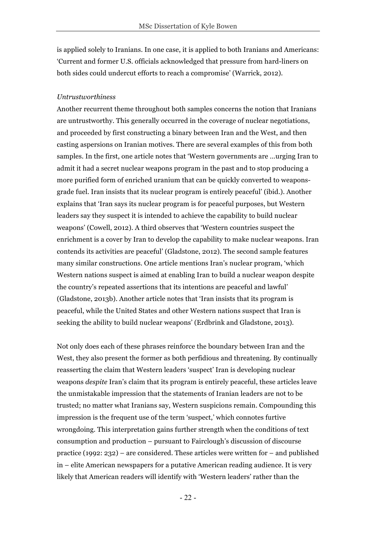is applied solely to Iranians. In one case, it is applied to both Iranians and Americans: 'Current and former U.S. officials acknowledged that pressure from hard-liners on both sides could undercut efforts to reach a compromise' (Warrick, 2012).

#### *Untrustworthiness*

Another recurrent theme throughout both samples concerns the notion that Iranians are untrustworthy. This generally occurred in the coverage of nuclear negotiations, and proceeded by first constructing a binary between Iran and the West, and then casting aspersions on Iranian motives. There are several examples of this from both samples. In the first, one article notes that 'Western governments are …urging Iran to admit it had a secret nuclear weapons program in the past and to stop producing a more purified form of enriched uranium that can be quickly converted to weaponsgrade fuel. Iran insists that its nuclear program is entirely peaceful' (ibid.). Another explains that 'Iran says its nuclear program is for peaceful purposes, but Western leaders say they suspect it is intended to achieve the capability to build nuclear weapons' (Cowell, 2012). A third observes that 'Western countries suspect the enrichment is a cover by Iran to develop the capability to make nuclear weapons. Iran contends its activities are peaceful' (Gladstone, 2012). The second sample features many similar constructions. One article mentions Iran's nuclear program, 'which Western nations suspect is aimed at enabling Iran to build a nuclear weapon despite the country's repeated assertions that its intentions are peaceful and lawful' (Gladstone, 2013b). Another article notes that 'Iran insists that its program is peaceful, while the United States and other Western nations suspect that Iran is seeking the ability to build nuclear weapons' (Erdbrink and Gladstone, 2013).

Not only does each of these phrases reinforce the boundary between Iran and the West, they also present the former as both perfidious and threatening. By continually reasserting the claim that Western leaders 'suspect' Iran is developing nuclear weapons *despite* Iran's claim that its program is entirely peaceful, these articles leave the unmistakable impression that the statements of Iranian leaders are not to be trusted; no matter what Iranians say, Western suspicions remain. Compounding this impression is the frequent use of the term 'suspect,' which connotes furtive wrongdoing. This interpretation gains further strength when the conditions of text consumption and production – pursuant to Fairclough's discussion of discourse practice (1992: 232) – are considered. These articles were written for – and published in – elite American newspapers for a putative American reading audience. It is very likely that American readers will identify with 'Western leaders' rather than the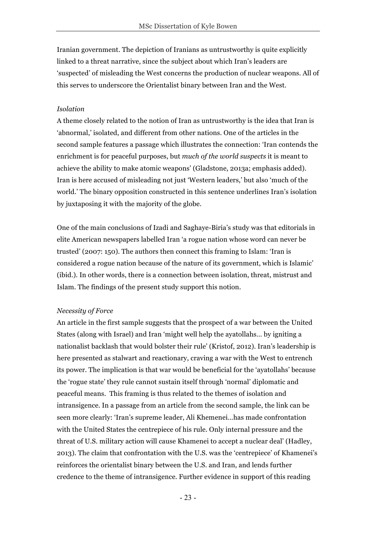Iranian government. The depiction of Iranians as untrustworthy is quite explicitly linked to a threat narrative, since the subject about which Iran's leaders are 'suspected' of misleading the West concerns the production of nuclear weapons. All of this serves to underscore the Orientalist binary between Iran and the West.

#### *Isolation*

A theme closely related to the notion of Iran as untrustworthy is the idea that Iran is 'abnormal,' isolated, and different from other nations. One of the articles in the second sample features a passage which illustrates the connection: 'Iran contends the enrichment is for peaceful purposes, but *much of the world suspects* it is meant to achieve the ability to make atomic weapons' (Gladstone, 2013a; emphasis added). Iran is here accused of misleading not just 'Western leaders,' but also 'much of the world.' The binary opposition constructed in this sentence underlines Iran's isolation by juxtaposing it with the majority of the globe.

One of the main conclusions of Izadi and Saghaye-Biria's study was that editorials in elite American newspapers labelled Iran 'a rogue nation whose word can never be trusted' (2007: 150). The authors then connect this framing to Islam: 'Iran is considered a rogue nation because of the nature of its government, which is Islamic' (ibid.). In other words, there is a connection between isolation, threat, mistrust and Islam. The findings of the present study support this notion.

#### *Necessity of Force*

An article in the first sample suggests that the prospect of a war between the United States (along with Israel) and Iran 'might well help the ayatollahs… by igniting a nationalist backlash that would bolster their rule' (Kristof, 2012). Iran's leadership is here presented as stalwart and reactionary, craving a war with the West to entrench its power. The implication is that war would be beneficial for the 'ayatollahs' because the 'rogue state' they rule cannot sustain itself through 'normal' diplomatic and peaceful means. This framing is thus related to the themes of isolation and intransigence. In a passage from an article from the second sample, the link can be seen more clearly: 'Iran's supreme leader, Ali Khemenei…has made confrontation with the United States the centrepiece of his rule. Only internal pressure and the threat of U.S. military action will cause Khamenei to accept a nuclear deal' (Hadley, 2013). The claim that confrontation with the U.S. was the 'centrepiece' of Khamenei's reinforces the orientalist binary between the U.S. and Iran, and lends further credence to the theme of intransigence. Further evidence in support of this reading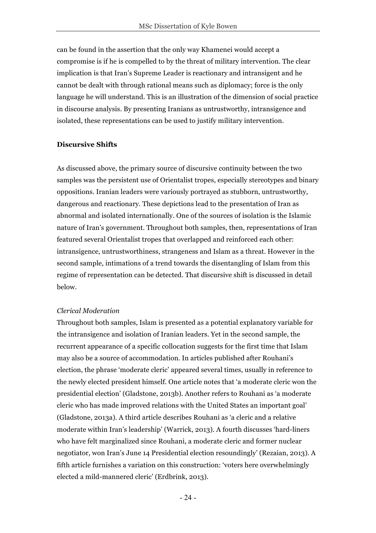can be found in the assertion that the only way Khamenei would accept a compromise is if he is compelled to by the threat of military intervention. The clear implication is that Iran's Supreme Leader is reactionary and intransigent and he cannot be dealt with through rational means such as diplomacy; force is the only language he will understand. This is an illustration of the dimension of social practice in discourse analysis. By presenting Iranians as untrustworthy, intransigence and isolated, these representations can be used to justify military intervention.

#### **Discursive Shifts**

As discussed above, the primary source of discursive continuity between the two samples was the persistent use of Orientalist tropes, especially stereotypes and binary oppositions. Iranian leaders were variously portrayed as stubborn, untrustworthy, dangerous and reactionary. These depictions lead to the presentation of Iran as abnormal and isolated internationally. One of the sources of isolation is the Islamic nature of Iran's government. Throughout both samples, then, representations of Iran featured several Orientalist tropes that overlapped and reinforced each other: intransigence, untrustworthiness, strangeness and Islam as a threat. However in the second sample, intimations of a trend towards the disentangling of Islam from this regime of representation can be detected. That discursive shift is discussed in detail below.

#### *Clerical Moderation*

Throughout both samples, Islam is presented as a potential explanatory variable for the intransigence and isolation of Iranian leaders. Yet in the second sample, the recurrent appearance of a specific collocation suggests for the first time that Islam may also be a source of accommodation. In articles published after Rouhani's election, the phrase 'moderate cleric' appeared several times, usually in reference to the newly elected president himself. One article notes that 'a moderate cleric won the presidential election' (Gladstone, 2013b). Another refers to Rouhani as 'a moderate cleric who has made improved relations with the United States an important goal' (Gladstone, 2013a). A third article describes Rouhani as 'a cleric and a relative moderate within Iran's leadership' (Warrick, 2013). A fourth discusses 'hard-liners who have felt marginalized since Rouhani, a moderate cleric and former nuclear negotiator, won Iran's June 14 Presidential election resoundingly' (Rezaian, 2013). A fifth article furnishes a variation on this construction: 'voters here overwhelmingly elected a mild-mannered cleric' (Erdbrink, 2013).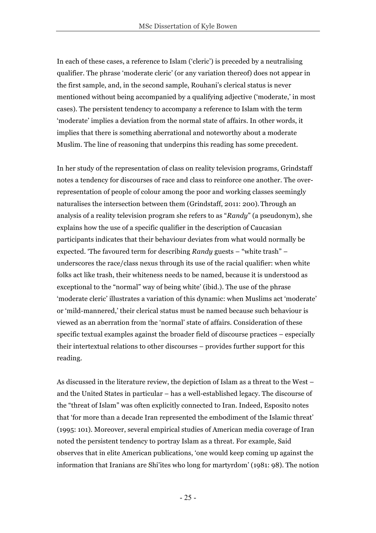In each of these cases, a reference to Islam ('cleric') is preceded by a neutralising qualifier. The phrase 'moderate cleric' (or any variation thereof) does not appear in the first sample, and, in the second sample, Rouhani's clerical status is never mentioned without being accompanied by a qualifying adjective ('moderate,' in most cases). The persistent tendency to accompany a reference to Islam with the term 'moderate' implies a deviation from the normal state of affairs. In other words, it implies that there is something aberrational and noteworthy about a moderate Muslim. The line of reasoning that underpins this reading has some precedent.

In her study of the representation of class on reality television programs, Grindstaff notes a tendency for discourses of race and class to reinforce one another. The overrepresentation of people of colour among the poor and working classes seemingly naturalises the intersection between them (Grindstaff, 2011: 200). Through an analysis of a reality television program she refers to as "*Randy*" (a pseudonym), she explains how the use of a specific qualifier in the description of Caucasian participants indicates that their behaviour deviates from what would normally be expected. 'The favoured term for describing *Randy* guests – "white trash" – underscores the race/class nexus through its use of the racial qualifier: when white folks act like trash, their whiteness needs to be named, because it is understood as exceptional to the "normal" way of being white' (ibid.). The use of the phrase 'moderate cleric' illustrates a variation of this dynamic: when Muslims act 'moderate' or 'mild-mannered,' their clerical status must be named because such behaviour is viewed as an aberration from the 'normal' state of affairs. Consideration of these specific textual examples against the broader field of discourse practices – especially their intertextual relations to other discourses – provides further support for this reading.

As discussed in the literature review, the depiction of Islam as a threat to the West – and the United States in particular – has a well-established legacy. The discourse of the "threat of Islam" was often explicitly connected to Iran. Indeed, Esposito notes that 'for more than a decade Iran represented the embodiment of the Islamic threat' (1995: 101). Moreover, several empirical studies of American media coverage of Iran noted the persistent tendency to portray Islam as a threat. For example, Said observes that in elite American publications, 'one would keep coming up against the information that Iranians are Shi'ites who long for martyrdom' (1981: 98). The notion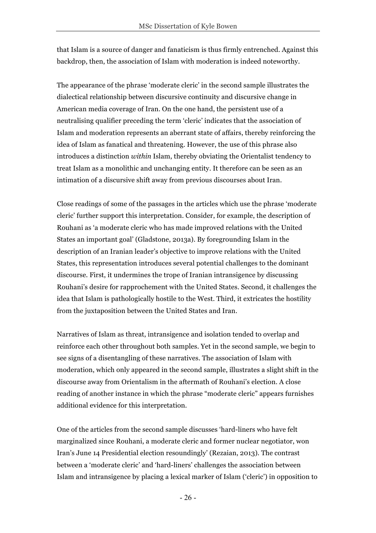that Islam is a source of danger and fanaticism is thus firmly entrenched. Against this backdrop, then, the association of Islam with moderation is indeed noteworthy.

The appearance of the phrase 'moderate cleric' in the second sample illustrates the dialectical relationship between discursive continuity and discursive change in American media coverage of Iran. On the one hand, the persistent use of a neutralising qualifier preceding the term 'cleric' indicates that the association of Islam and moderation represents an aberrant state of affairs, thereby reinforcing the idea of Islam as fanatical and threatening. However, the use of this phrase also introduces a distinction *within* Islam, thereby obviating the Orientalist tendency to treat Islam as a monolithic and unchanging entity. It therefore can be seen as an intimation of a discursive shift away from previous discourses about Iran.

Close readings of some of the passages in the articles which use the phrase 'moderate cleric' further support this interpretation. Consider, for example, the description of Rouhani as 'a moderate cleric who has made improved relations with the United States an important goal' (Gladstone, 2013a). By foregrounding Islam in the description of an Iranian leader's objective to improve relations with the United States, this representation introduces several potential challenges to the dominant discourse. First, it undermines the trope of Iranian intransigence by discussing Rouhani's desire for rapprochement with the United States. Second, it challenges the idea that Islam is pathologically hostile to the West. Third, it extricates the hostility from the juxtaposition between the United States and Iran.

Narratives of Islam as threat, intransigence and isolation tended to overlap and reinforce each other throughout both samples. Yet in the second sample, we begin to see signs of a disentangling of these narratives. The association of Islam with moderation, which only appeared in the second sample, illustrates a slight shift in the discourse away from Orientalism in the aftermath of Rouhani's election. A close reading of another instance in which the phrase "moderate cleric" appears furnishes additional evidence for this interpretation.

One of the articles from the second sample discusses 'hard-liners who have felt marginalized since Rouhani, a moderate cleric and former nuclear negotiator, won Iran's June 14 Presidential election resoundingly' (Rezaian, 2013). The contrast between a 'moderate cleric' and 'hard-liners' challenges the association between Islam and intransigence by placing a lexical marker of Islam ('cleric') in opposition to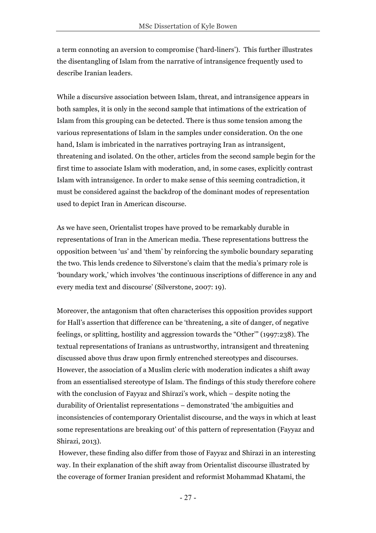a term connoting an aversion to compromise ('hard-liners'). This further illustrates the disentangling of Islam from the narrative of intransigence frequently used to describe Iranian leaders.

While a discursive association between Islam, threat, and intransigence appears in both samples, it is only in the second sample that intimations of the extrication of Islam from this grouping can be detected. There is thus some tension among the various representations of Islam in the samples under consideration. On the one hand, Islam is imbricated in the narratives portraying Iran as intransigent, threatening and isolated. On the other, articles from the second sample begin for the first time to associate Islam with moderation, and, in some cases, explicitly contrast Islam with intransigence. In order to make sense of this seeming contradiction, it must be considered against the backdrop of the dominant modes of representation used to depict Iran in American discourse.

As we have seen, Orientalist tropes have proved to be remarkably durable in representations of Iran in the American media. These representations buttress the opposition between 'us' and 'them' by reinforcing the symbolic boundary separating the two. This lends credence to Silverstone's claim that the media's primary role is 'boundary work,' which involves 'the continuous inscriptions of difference in any and every media text and discourse' (Silverstone, 2007: 19).

Moreover, the antagonism that often characterises this opposition provides support for Hall's assertion that difference can be 'threatening, a site of danger, of negative feelings, or splitting, hostility and aggression towards the "Other'" (1997:238). The textual representations of Iranians as untrustworthy, intransigent and threatening discussed above thus draw upon firmly entrenched stereotypes and discourses. However, the association of a Muslim cleric with moderation indicates a shift away from an essentialised stereotype of Islam. The findings of this study therefore cohere with the conclusion of Fayyaz and Shirazi's work, which – despite noting the durability of Orientalist representations – demonstrated 'the ambiguities and inconsistencies of contemporary Orientalist discourse, and the ways in which at least some representations are breaking out' of this pattern of representation (Fayyaz and Shirazi, 2013).

However, these finding also differ from those of Fayyaz and Shirazi in an interesting way. In their explanation of the shift away from Orientalist discourse illustrated by the coverage of former Iranian president and reformist Mohammad Khatami, the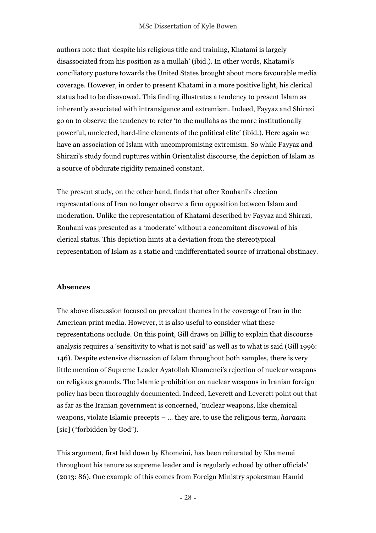authors note that 'despite his religious title and training, Khatami is largely disassociated from his position as a mullah' (ibid.). In other words, Khatami's conciliatory posture towards the United States brought about more favourable media coverage. However, in order to present Khatami in a more positive light, his clerical status had to be disavowed. This finding illustrates a tendency to present Islam as inherently associated with intransigence and extremism. Indeed, Fayyaz and Shirazi go on to observe the tendency to refer 'to the mullahs as the more institutionally powerful, unelected, hard-line elements of the political elite' (ibid.). Here again we have an association of Islam with uncompromising extremism. So while Fayyaz and Shirazi's study found ruptures within Orientalist discourse, the depiction of Islam as a source of obdurate rigidity remained constant.

The present study, on the other hand, finds that after Rouhani's election representations of Iran no longer observe a firm opposition between Islam and moderation. Unlike the representation of Khatami described by Fayyaz and Shirazi, Rouhani was presented as a 'moderate' without a concomitant disavowal of his clerical status. This depiction hints at a deviation from the stereotypical representation of Islam as a static and undifferentiated source of irrational obstinacy.

### **Absences**

The above discussion focused on prevalent themes in the coverage of Iran in the American print media. However, it is also useful to consider what these representations occlude. On this point, Gill draws on Billig to explain that discourse analysis requires a 'sensitivity to what is not said' as well as to what is said (Gill 1996: 146). Despite extensive discussion of Islam throughout both samples, there is very little mention of Supreme Leader Ayatollah Khamenei's rejection of nuclear weapons on religious grounds. The Islamic prohibition on nuclear weapons in Iranian foreign policy has been thoroughly documented. Indeed, Leverett and Leverett point out that as far as the Iranian government is concerned, 'nuclear weapons, like chemical weapons, violate Islamic precepts – … they are, to use the religious term, *haraam*  [sic] ("forbidden by God").

This argument, first laid down by Khomeini, has been reiterated by Khamenei throughout his tenure as supreme leader and is regularly echoed by other officials' (2013: 86). One example of this comes from Foreign Ministry spokesman Hamid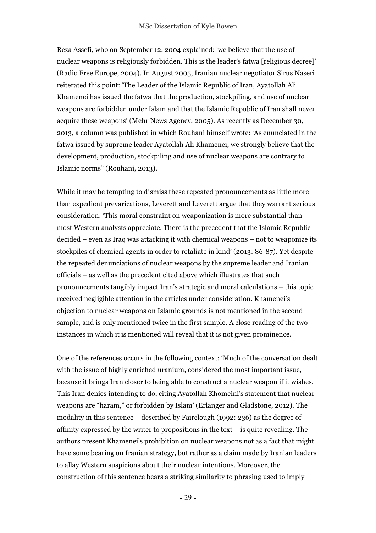Reza Assefi, who on September 12, 2004 explained: 'we believe that the use of nuclear weapons is religiously forbidden. This is the leader's fatwa [religious decree]' (Radio Free Europe, 2004). In August 2005, Iranian nuclear negotiator Sirus Naseri reiterated this point: 'The Leader of the Islamic Republic of Iran, Ayatollah Ali Khamenei has issued the fatwa that the production, stockpiling, and use of nuclear weapons are forbidden under Islam and that the Islamic Republic of Iran shall never acquire these weapons' (Mehr News Agency, 2005). As recently as December 30, 2013, a column was published in which Rouhani himself wrote: 'As enunciated in the fatwa issued by supreme leader Ayatollah Ali Khamenei, we strongly believe that the development, production, stockpiling and use of nuclear weapons are contrary to Islamic norms" (Rouhani, 2013).

While it may be tempting to dismiss these repeated pronouncements as little more than expedient prevarications, Leverett and Leverett argue that they warrant serious consideration: 'This moral constraint on weaponization is more substantial than most Western analysts appreciate. There is the precedent that the Islamic Republic decided – even as Iraq was attacking it with chemical weapons – not to weaponize its stockpiles of chemical agents in order to retaliate in kind' (2013: 86-87). Yet despite the repeated denunciations of nuclear weapons by the supreme leader and Iranian officials – as well as the precedent cited above which illustrates that such pronouncements tangibly impact Iran's strategic and moral calculations – this topic received negligible attention in the articles under consideration. Khamenei's objection to nuclear weapons on Islamic grounds is not mentioned in the second sample, and is only mentioned twice in the first sample. A close reading of the two instances in which it is mentioned will reveal that it is not given prominence.

One of the references occurs in the following context: 'Much of the conversation dealt with the issue of highly enriched uranium, considered the most important issue, because it brings Iran closer to being able to construct a nuclear weapon if it wishes. This Iran denies intending to do, citing Ayatollah Khomeini's statement that nuclear weapons are "haram," or forbidden by Islam' (Erlanger and Gladstone, 2012). The modality in this sentence – described by Fairclough (1992: 236) as the degree of affinity expressed by the writer to propositions in the text – is quite revealing. The authors present Khamenei's prohibition on nuclear weapons not as a fact that might have some bearing on Iranian strategy, but rather as a claim made by Iranian leaders to allay Western suspicions about their nuclear intentions. Moreover, the construction of this sentence bears a striking similarity to phrasing used to imply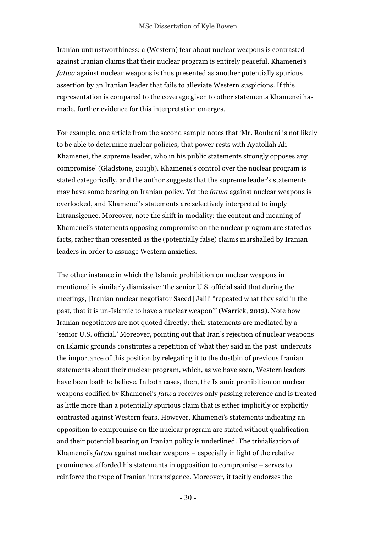Iranian untrustworthiness: a (Western) fear about nuclear weapons is contrasted against Iranian claims that their nuclear program is entirely peaceful. Khamenei's *fatwa* against nuclear weapons is thus presented as another potentially spurious assertion by an Iranian leader that fails to alleviate Western suspicions. If this representation is compared to the coverage given to other statements Khamenei has made, further evidence for this interpretation emerges.

For example, one article from the second sample notes that 'Mr. Rouhani is not likely to be able to determine nuclear policies; that power rests with Ayatollah Ali Khamenei, the supreme leader, who in his public statements strongly opposes any compromise' (Gladstone, 2013b). Khamenei's control over the nuclear program is stated categorically, and the author suggests that the supreme leader's statements may have some bearing on Iranian policy. Yet the *fatwa* against nuclear weapons is overlooked, and Khamenei's statements are selectively interpreted to imply intransigence. Moreover, note the shift in modality: the content and meaning of Khamenei's statements opposing compromise on the nuclear program are stated as facts, rather than presented as the (potentially false) claims marshalled by Iranian leaders in order to assuage Western anxieties.

The other instance in which the Islamic prohibition on nuclear weapons in mentioned is similarly dismissive: 'the senior U.S. official said that during the meetings, [Iranian nuclear negotiator Saeed] Jalili "repeated what they said in the past, that it is un-Islamic to have a nuclear weapon'" (Warrick, 2012). Note how Iranian negotiators are not quoted directly; their statements are mediated by a 'senior U.S. official.' Moreover, pointing out that Iran's rejection of nuclear weapons on Islamic grounds constitutes a repetition of 'what they said in the past' undercuts the importance of this position by relegating it to the dustbin of previous Iranian statements about their nuclear program, which, as we have seen, Western leaders have been loath to believe. In both cases, then, the Islamic prohibition on nuclear weapons codified by Khamenei's *fatwa* receives only passing reference and is treated as little more than a potentially spurious claim that is either implicitly or explicitly contrasted against Western fears. However, Khamenei's statements indicating an opposition to compromise on the nuclear program are stated without qualification and their potential bearing on Iranian policy is underlined. The trivialisation of Khamenei's *fatwa* against nuclear weapons – especially in light of the relative prominence afforded his statements in opposition to compromise – serves to reinforce the trope of Iranian intransigence. Moreover, it tacitly endorses the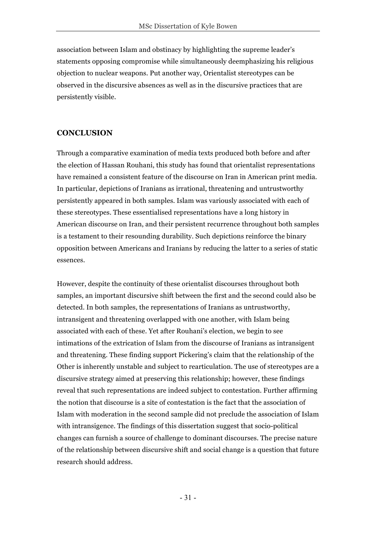association between Islam and obstinacy by highlighting the supreme leader's statements opposing compromise while simultaneously deemphasizing his religious objection to nuclear weapons. Put another way, Orientalist stereotypes can be observed in the discursive absences as well as in the discursive practices that are persistently visible.

#### **CONCLUSION**

Through a comparative examination of media texts produced both before and after the election of Hassan Rouhani, this study has found that orientalist representations have remained a consistent feature of the discourse on Iran in American print media. In particular, depictions of Iranians as irrational, threatening and untrustworthy persistently appeared in both samples. Islam was variously associated with each of these stereotypes. These essentialised representations have a long history in American discourse on Iran, and their persistent recurrence throughout both samples is a testament to their resounding durability. Such depictions reinforce the binary opposition between Americans and Iranians by reducing the latter to a series of static essences.

However, despite the continuity of these orientalist discourses throughout both samples, an important discursive shift between the first and the second could also be detected. In both samples, the representations of Iranians as untrustworthy, intransigent and threatening overlapped with one another, with Islam being associated with each of these. Yet after Rouhani's election, we begin to see intimations of the extrication of Islam from the discourse of Iranians as intransigent and threatening. These finding support Pickering's claim that the relationship of the Other is inherently unstable and subject to rearticulation. The use of stereotypes are a discursive strategy aimed at preserving this relationship; however, these findings reveal that such representations are indeed subject to contestation. Further affirming the notion that discourse is a site of contestation is the fact that the association of Islam with moderation in the second sample did not preclude the association of Islam with intransigence. The findings of this dissertation suggest that socio-political changes can furnish a source of challenge to dominant discourses. The precise nature of the relationship between discursive shift and social change is a question that future research should address.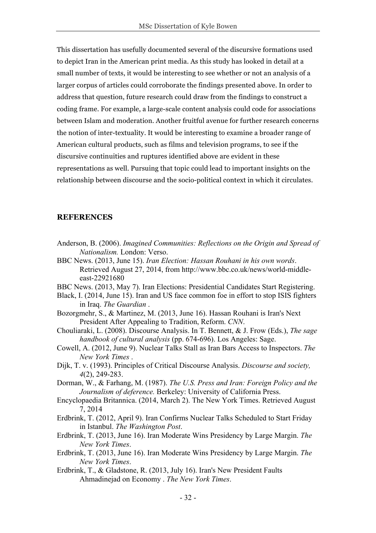This dissertation has usefully documented several of the discursive formations used to depict Iran in the American print media. As this study has looked in detail at a small number of texts, it would be interesting to see whether or not an analysis of a larger corpus of articles could corroborate the findings presented above. In order to address that question, future research could draw from the findings to construct a coding frame. For example, a large-scale content analysis could code for associations between Islam and moderation. Another fruitful avenue for further research concerns the notion of inter-textuality. It would be interesting to examine a broader range of American cultural products, such as films and television programs, to see if the discursive continuities and ruptures identified above are evident in these representations as well. Pursuing that topic could lead to important insights on the relationship between discourse and the socio-political context in which it circulates.

#### **REFERENCES**

- Anderson, B. (2006). *Imagined Communities: Reflections on the Origin and Spread of Nationalism.* London: Verso.
- BBC News. (2013, June 15). *Iran Election: Hassan Rouhani in his own words*. Retrieved August 27, 2014, from http://www.bbc.co.uk/news/world-middleeast-22921680
- BBC News. (2013, May 7). Iran Elections: Presidential Candidates Start Registering.
- Black, I. (2014, June 15). Iran and US face common foe in effort to stop ISIS fighters in Iraq. *The Guardian* .
- Bozorgmehr, S., & Martinez, M. (2013, June 16). Hassan Rouhani is Iran's Next President After Appealing to Tradition, Reform. *CNN*.
- Chouliaraki, L. (2008). Discourse Analysis. In T. Bennett, & J. Frow (Eds.), *The sage handbook of cultural analysis* (pp. 674-696). Los Angeles: Sage.
- Cowell, A. (2012, June 9). Nuclear Talks Stall as Iran Bars Access to Inspectors. *The New York Times* .
- Dijk, T. v. (1993). Principles of Critical Discourse Analysis. *Discourse and society, 4*(2), 249-283.
- Dorman, W., & Farhang, M. (1987). *The U.S. Press and Iran: Foreign Policy and the Journalism of deference.* Berkeley: University of California Press.
- Encyclopaedia Britannica. (2014, March 2). The New York Times. Retrieved August 7, 2014
- Erdbrink, T. (2012, April 9). Iran Confirms Nuclear Talks Scheduled to Start Friday in Istanbul. *The Washington Post*.
- Erdbrink, T. (2013, June 16). Iran Moderate Wins Presidency by Large Margin. *The New York Times*.
- Erdbrink, T. (2013, June 16). Iran Moderate Wins Presidency by Large Margin. *The New York Times*.
- Erdbrink, T., & Gladstone, R. (2013, July 16). Iran's New President Faults Ahmadinejad on Economy . *The New York Times*.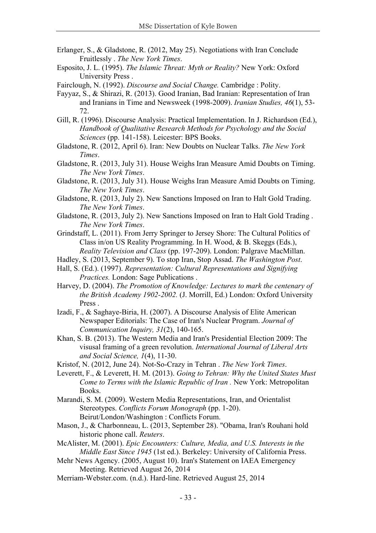- Erlanger, S., & Gladstone, R. (2012, May 25). Negotiations with Iran Conclude Fruitlessly . *The New York Times*.
- Esposito, J. L. (1995). *The Islamic Threat: Myth or Reality?* New York: Oxford University Press .
- Fairclough, N. (1992). *Discourse and Social Change.* Cambridge : Polity.
- Fayyaz, S., & Shirazi, R. (2013). Good Iranian, Bad Iranian: Representation of Iran and Iranians in Time and Newsweek (1998-2009). *Iranian Studies, 46*(1), 53- 72.
- Gill, R. (1996). Discourse Analysis: Practical Implementation. In J. Richardson (Ed.), *Handbook of Qualitative Research Methods for Psychology and the Social Sciences* (pp. 141-158). Leicester: BPS Books.
- Gladstone, R. (2012, April 6). Iran: New Doubts on Nuclear Talks. *The New York Times*.
- Gladstone, R. (2013, July 31). House Weighs Iran Measure Amid Doubts on Timing. *The New York Times*.
- Gladstone, R. (2013, July 31). House Weighs Iran Measure Amid Doubts on Timing. *The New York Times*.
- Gladstone, R. (2013, July 2). New Sanctions Imposed on Iran to Halt Gold Trading. *The New York Times*.
- Gladstone, R. (2013, July 2). New Sanctions Imposed on Iran to Halt Gold Trading . *The New York Times*.
- Grindstaff, L. (2011). From Jerry Springer to Jersey Shore: The Cultural Politics of Class in/on US Reality Programming. In H. Wood, & B. Skeggs (Eds.), *Reality Television and Class* (pp. 197-209). London: Palgrave MacMillan.
- Hadley, S. (2013, September 9). To stop Iran, Stop Assad. *The Washington Post*.
- Hall, S. (Ed.). (1997). *Representation: Cultural Representations and Signifying Practices.* London: Sage Publications .
- Harvey, D. (2004). *The Promotion of Knowledge: Lectures to mark the centenary of the British Academy 1902-2002.* (J. Morrill, Ed.) London: Oxford University Press .
- Izadi, F., & Saghaye-Biria, H. (2007). A Discourse Analysis of Elite American Newspaper Editorials: The Case of Iran's Nuclear Program. *Journal of Communication Inquiry, 31*(2), 140-165.
- Khan, S. B. (2013). The Western Media and Iran's Presidential Election 2009: The visusal framing of a green revolution. *International Journal of Liberal Arts and Social Science, 1*(4), 11-30.
- Kristof, N. (2012, June 24). Not-So-Crazy in Tehran . *The New York Times*.
- Leverett, F., & Leverett, H. M. (2013). *Going to Tehran: Why the United States Must Come to Terms with the Islamic Republic of Iran .* New York: Metropolitan Books.
- Marandi, S. M. (2009). Western Media Representations, Iran, and Orientalist Stereotypes. *Conflicts Forum Monograph* (pp. 1-20). Beirut/London/Washington : Conflicts Forum.
- Mason, J., & Charbonneau, L. (2013, September 28). "Obama, Iran's Rouhani hold historic phone call. *Reuters*.
- McAlister, M. (2001). *Epic Encounters: Culture, Media, and U.S. Interests in the Middle East Since 1945* (1st ed.). Berkeley: University of California Press.
- Mehr News Agency. (2005, August 10). Iran's Statement on IAEA Emergency Meeting. Retrieved August 26, 2014
- Merriam-Webster.com. (n.d.). Hard-line. Retrieved August 25, 2014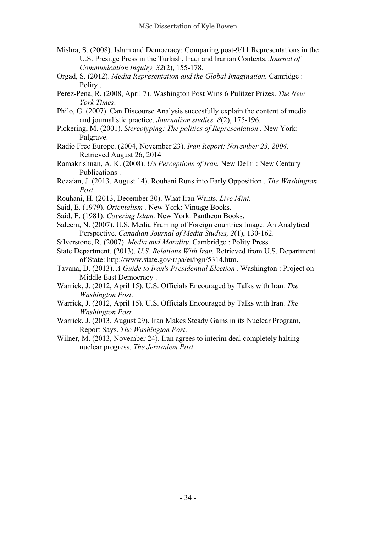- Mishra, S. (2008). Islam and Democracy: Comparing post-9/11 Representations in the U.S. Presitge Press in the Turkish, Iraqi and Iranian Contexts. *Journal of Communication Inquiry, 32*(2), 155-178.
- Orgad, S. (2012). *Media Representation and the Global Imagination.* Camridge : Polity .
- Perez-Pena, R. (2008, April 7). Washington Post Wins 6 Pulitzer Prizes. *The New York Times*.
- Philo, G. (2007). Can Discourse Analysis succesfully explain the content of media and journalistic practice. *Journalism studies, 8*(2), 175-196.
- Pickering, M. (2001). *Stereotyping: The politics of Representation .* New York: Palgrave.
- Radio Free Europe. (2004, November 23). *Iran Report: November 23, 2004.* Retrieved August 26, 2014
- Ramakrishnan, A. K. (2008). *US Perceptions of Iran.* New Delhi : New Century Publications .
- Rezaian, J. (2013, August 14). Rouhani Runs into Early Opposition . *The Washington Post*.
- Rouhani, H. (2013, December 30). What Iran Wants. *Live Mint*.
- Said, E. (1979). *Orientalism .* New York: Vintage Books.
- Said, E. (1981). *Covering Islam.* New York: Pantheon Books.
- Saleem, N. (2007). U.S. Media Framing of Foreign countries Image: An Analytical Perspective. *Canadian Journal of Media Studies, 2*(1), 130-162.
- Silverstone, R. (2007). *Media and Morality.* Cambridge : Polity Press.
- State Department. (2013). *U.S. Relations With Iran.* Retrieved from U.S. Department of State: http://www.state.gov/r/pa/ei/bgn/5314.htm.
- Tavana, D. (2013). *A Guide to Iran's Presidential Election .* Washington : Project on Middle East Democracy .
- Warrick, J. (2012, April 15). U.S. Officials Encouraged by Talks with Iran. *The Washington Post*.
- Warrick, J. (2012, April 15). U.S. Officials Encouraged by Talks with Iran. *The Washington Post*.
- Warrick, J. (2013, August 29). Iran Makes Steady Gains in its Nuclear Program, Report Says. *The Washington Post*.
- Wilner, M. (2013, November 24). Iran agrees to interim deal completely halting nuclear progress. *The Jerusalem Post*.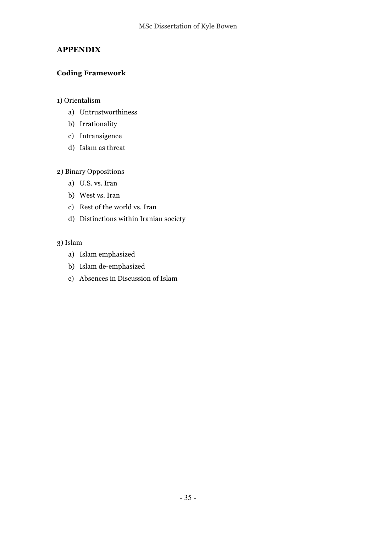## **APPENDIX**

## **Coding Framework**

## 1) Orientalism

- a) Untrustworthiness
- b) Irrationality
- c) Intransigence
- d) Islam as threat

## 2) Binary Oppositions

- a) U.S. vs. Iran
- b) West vs. Iran
- c) Rest of the world vs. Iran
- d) Distinctions within Iranian society

## 3) Islam

- a) Islam emphasized
- b) Islam de-emphasized
- c) Absences in Discussion of Islam